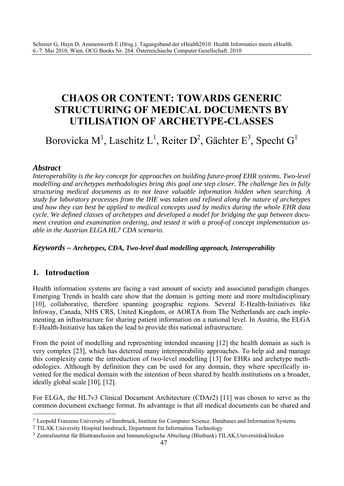# **CHAOS OR CONTENT: TOWARDS GENERIC STRUCTURING OF MEDICAL DOCUMENTS BY UTILISATION OF ARCHETYPE-CLASSES**

Borovicka M<sup>1</sup>, Laschitz L<sup>1</sup>, Reiter D<sup>2</sup>, Gächter E<sup>3</sup>, Specht G<sup>1</sup>

#### *Abstract*

*Interoperability is the key concept for approaches on building future-proof EHR systems. Two-level modelling and archetypes methodologies bring this goal one step closer. The challenge lies in fully structuring medical documents as to not leave valuable information hidden when searching. A study for laboratory processes from the IHE was taken and refined along the nature of archetypes and how they can best be applied to medical concepts used by medics during the whole EHR data cycle. We defined classes of archetypes and developed a model for bridging the gap between document creation and examination ordering, and tested it with a proof-of concept implementation usable in the Austrian ELGA HL7 CDA scenario.* 

#### *Keywords – Archetypes, CDA, Two-level dual modelling approach, Interoperability*

#### **1. Introduction**

 $\overline{a}$ 

Health information systems are facing a vast amount of society and associated paradigm changes. Emerging Trends in health care show that the domain is getting more and more multidisciplinary [10], collaborative, therefore spanning geographic regions. Several E-Health-Initiatives like Infoway, Canada, NHS CRS, United Kingdom, or AORTA from The Netherlands are each implementing an infrastructure for sharing patient information on a national level. In Austria, the ELGA E-Health-Initiative has taken the lead to provide this national infrastructure.

From the point of modelling and representing intended meaning [12] the health domain as such is very complex [23], which has deterred many interoperability approaches. To help aid and manage this complexity came the introduction of two-level modelling [13] for EHRs and archetype methodologies. Although by definition they can be used for any domain, they where specifically invented for the medical domain with the intention of been shared by health institutions on a broader, ideally global scale [10], [12].

For ELGA, the HL7v3 Clinical Document Architecture (CDAr2) [11] was chosen to serve as the common document exchange format. Its advantage is that all medical documents can be shared and

<sup>1</sup> Leopold Franzens University of Innsbruck, Institute for Computer Science. Databases and Information Systems

<sup>2</sup> TILAK University Hospital Innsbruck, Department for Information Technology

<sup>3</sup> Zentralinstitut für Bluttransfusion und Immunologische Abteilung (Blutbank) TILAK,Universitätskliniken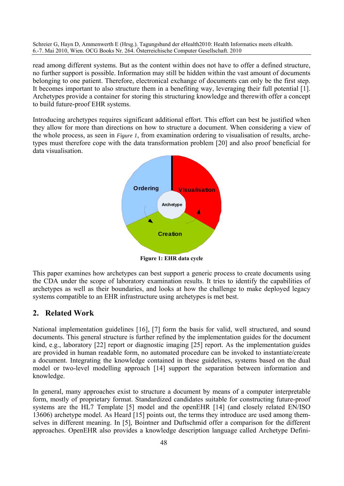read among different systems. But as the content within does not have to offer a defined structure, no further support is possible. Information may still be hidden within the vast amount of documents belonging to one patient. Therefore, electronical exchange of documents can only be the first step. It becomes important to also structure them in a benefiting way, leveraging their full potential [1]. Archetypes provide a container for storing this structuring knowledge and therewith offer a concept to build future-proof EHR systems.

Introducing archetypes requires significant additional effort. This effort can best be justified when they allow for more than directions on how to structure a document. When considering a view of the whole process, as seen in *Figure 1*, from examination ordering to visualisation of results, archetypes must therefore cope with the data transformation problem [20] and also proof beneficial for data visualisation.



**Figure 1: EHR data cycle** 

This paper examines how archetypes can best support a generic process to create documents using the CDA under the scope of laboratory examination results. It tries to identify the capabilities of archetypes as well as their boundaries, and looks at how the challenge to make deployed legacy systems compatible to an EHR infrastructure using archetypes is met best.

### **2. Related Work**

National implementation guidelines [16], [7] form the basis for valid, well structured, and sound documents. This general structure is further refined by the implementation guides for the document kind, e.g., laboratory [22] report or diagnostic imaging [25] report. As the implementation guides are provided in human readable form, no automated procedure can be invoked to instantiate/create a document. Integrating the knowledge contained in these guidelines, systems based on the dual model or two-level modelling approach [14] support the separation between information and knowledge.

In general, many approaches exist to structure a document by means of a computer interpretable form, mostly of proprietary format. Standardized candidates suitable for constructing future-proof systems are the HL7 Template [5] model and the openEHR [14] (and closely related EN/ISO 13606) archetype model. As Heard [15] points out, the terms they introduce are used among themselves in different meaning. In [5], Bointner and Duftschmid offer a comparison for the different approaches. OpenEHR also provides a knowledge description language called Archetype Defini-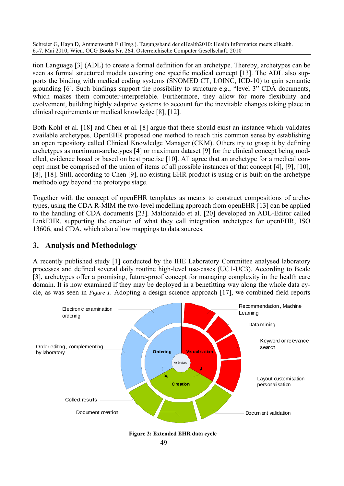tion Language [3] (ADL) to create a formal definition for an archetype. Thereby, archetypes can be seen as formal structured models covering one specific medical concept [13]. The ADL also supports the binding with medical coding systems (SNOMED CT, LOINC, ICD-10) to gain semantic grounding [6]. Such bindings support the possibility to structure e.g., "level 3" CDA documents, which makes them computer-interpretable. Furthermore, they allow for more flexibility and evolvement, building highly adaptive systems to account for the inevitable changes taking place in clinical requirements or medical knowledge [8], [12].

Both Kohl et al. [18] and Chen et al. [8] argue that there should exist an instance which validates available archetypes. OpenEHR proposed one method to reach this common sense by establishing an open repository called Clinical Knowledge Manager (CKM). Others try to grasp it by defining archetypes as maximum-archetypes [4] or maximum dataset [9] for the clinical concept being modelled, evidence based or based on best practise [10]. All agree that an archetype for a medical concept must be comprised of the union of items of all possible instances of that concept [4], [9], [10], [8], [18]. Still, according to Chen [9], no existing EHR product is using or is built on the archetype methodology beyond the prototype stage.

Together with the concept of openEHR templates as means to construct compositions of archetypes, using the CDA R-MIM the two-level modelling approach from openEHR [13] can be applied to the handling of CDA documents [23]. Maldonaldo et al. [20] developed an ADL-Editor called LinkEHR, supporting the creation of what they call integration archetypes for openEHR, ISO 13606, and CDA, which also allow mappings to data sources.

### **3. Analysis and Methodology**

A recently published study [1] conducted by the IHE Laboratory Committee analysed laboratory processes and defined several daily routine high-level use-cases (UC1-UC3). According to Beale [3], archetypes offer a promising, future-proof concept for managing complexity in the health care domain. It is now examined if they may be deployed in a benefitting way along the whole data cycle, as was seen in *Figure 1*. Adopting a design science approach [17], we combined field reports



49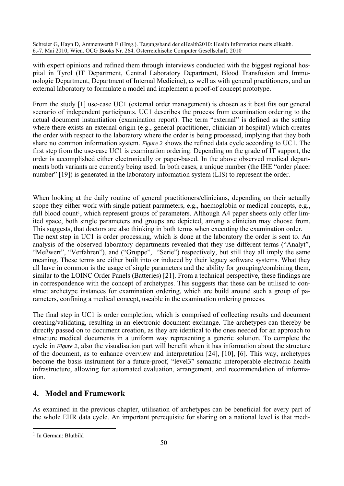with expert opinions and refined them through interviews conducted with the biggest regional hospital in Tyrol (IT Department, Central Laboratory Department, Blood Transfusion and Immunologic Department, Department of Internal Medicine), as well as with general practitioners, and an external laboratory to formulate a model and implement a proof-of concept prototype.

From the study [1] use-case UC1 (external order management) is chosen as it best fits our general scenario of independent participants. UC1 describes the process from examination ordering to the actual document instantiation (examination report). The term "external" is defined as the setting where there exists an external origin (e.g., general practitioner, clinician at hospital) which creates the order with respect to the laboratory where the order is being processed, implying that they both share no common information system. *Figure 2* shows the refined data cycle according to UC1. The first step from the use-case UC1 is examination ordering. Depending on the grade of IT support, the order is accomplished either electronically or paper-based. In the above observed medical departments both variants are currently being used. In both cases, a unique number (the IHE "order placer number" [19]) is generated in the laboratory information system (LIS) to represent the order.

When looking at the daily routine of general practitioners/clinicians, depending on their actually scope they either work with single patient parameters, e.g., haemoglobin or medical concepts, e.g., full blood count<sup>1</sup>, which represent groups of parameters. Although A4 paper sheets only offer limited space, both single parameters and groups are depicted, among a clinician may choose from. This suggests, that doctors are also thinking in both terms when executing the examination order. The next step in UC1 is order processing, which is done at the laboratory the order is sent to. An analysis of the observed laboratory departments revealed that they use different terms ("Analyt", "Meßwert", "Verfahren"), and ("Gruppe", "Serie") respectively, but still they all imply the same meaning. These terms are either built into or induced by their legacy software systems. What they all have in common is the usage of single parameters and the ability for grouping/combining them, similar to the LOINC Order Panels (Batteries) [21]. From a technical perspective, these findings are in correspondence with the concept of archetypes. This suggests that these can be utilised to construct archetype instances for examination ordering, which are build around such a group of parameters, confining a medical concept, useable in the examination ordering process.

The final step in UC1 is order completion, which is comprised of collecting results and document creating/validating, resulting in an electronic document exchange. The archetypes can thereby be directly passed on to document creation, as they are identical to the ones needed for an approach to structure medical documents in a uniform way representing a generic solution. To complete the cycle in *Figure 2*, also the visualisation part will benefit when it has information about the structure of the document, as to enhance overview and interpretation [24], [10], [6]. This way, archetypes become the basis instrument for a future-proof, "level3" semantic interoperable electronic health infrastructure, allowing for automated evaluation, arrangement, and recommendation of information.

## **4. Model and Framework**

As examined in the previous chapter, utilisation of archetypes can be beneficial for every part of the whole EHR data cycle. An important prerequisite for sharing on a national level is that medi-

 $\overline{a}$ 

<sup>1</sup> In German: Blutbild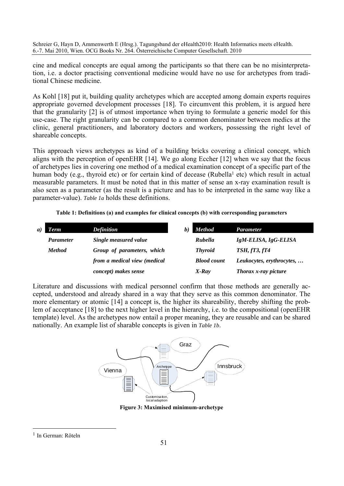cine and medical concepts are equal among the participants so that there can be no misinterpretation, i.e. a doctor practising conventional medicine would have no use for archetypes from traditional Chinese medicine.

As Kohl [18] put it, building quality archetypes which are accepted among domain experts requires appropriate governed development processes [18]. To circumvent this problem, it is argued here that the granularity [2] is of utmost importance when trying to formulate a generic model for this use-case. The right granularity can be compared to a common denominator between medics at the clinic, general practitioners, and laboratory doctors and workers, possessing the right level of shareable concepts.

This approach views archetypes as kind of a building bricks covering a clinical concept, which aligns with the perception of openEHR [14]. We go along Eccher [12] when we say that the focus of archetypes lies in covering one method of a medical examination concept of a specific part of the human body (e.g., thyroid etc) or for certain kind of decease (Rubella<sup>1</sup> etc) which result in actual measurable parameters. It must be noted that in this matter of sense an x-ray examination result is also seen as a parameter (as the result is a picture and has to be interpreted in the same way like a parameter-value). *Table 1a* holds these definitions.

| Table 1: Definitions (a) and examples for clinical concepts (b) with corresponding parameters |  |  |  |  |  |  |  |  |
|-----------------------------------------------------------------------------------------------|--|--|--|--|--|--|--|--|
|-----------------------------------------------------------------------------------------------|--|--|--|--|--|--|--|--|

| a) | <b>Term</b>      | <b>Definition</b>            | <b>Method</b><br>b) | <b>Parameter</b>          |
|----|------------------|------------------------------|---------------------|---------------------------|
|    | <b>Parameter</b> | Single measured value        | Rubella             | IgM-ELISA, IgG-ELISA      |
|    | <b>Method</b>    | Group of parameters, which   | <b>Thyroid</b>      | <b>TSH, fT3, fT4</b>      |
|    |                  | from a medical view (medical | <b>Blood count</b>  | Leukocytes, erythrocytes, |
|    |                  | concept) makes sense         | X-Ray               | Thorax x-ray picture      |

Literature and discussions with medical personnel confirm that those methods are generally accepted, understood and already shared in a way that they serve as this common denominator. The more elementary or atomic [14] a concept is, the higher its shareability, thereby shifting the problem of acceptance [18] to the next higher level in the hierarchy, i.e. to the compositional (openEHR template) level. As the archetypes now entail a proper meaning, they are reusable and can be shared nationally. An example list of sharable concepts is given in *Table 1b*.



**Figure 3: Maximised minimum-archetype** 

 $\overline{a}$ 

<sup>1</sup> In German: Röteln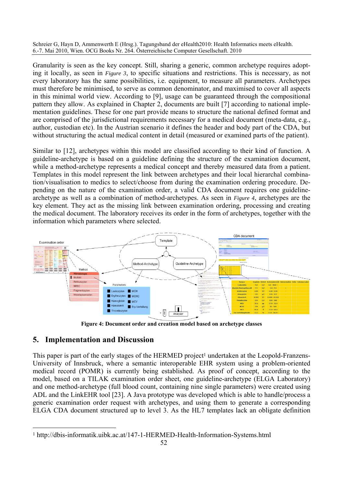Granularity is seen as the key concept. Still, sharing a generic, common archetype requires adopting it locally, as seen in *Figure 3*, to specific situations and restrictions. This is necessary, as not every laboratory has the same possibilities, i.e. equipment, to measure all parameters. Archetypes must therefore be minimised, to serve as common denominator, and maximised to cover all aspects in this minimal world view. According to [9], usage can be guaranteed through the compositional pattern they allow. As explained in Chapter 2, documents are built [7] according to national implementation guidelines. These for one part provide means to structure the national defined format and are comprised of the jurisdictional requirements necessary for a medical document (meta-data, e.g., author, custodian etc). In the Austrian scenario it defines the header and body part of the CDA, but without structuring the actual medical content in detail (measured or examined parts of the patient).

Similar to [12], archetypes within this model are classified according to their kind of function. A guideline-archetype is based on a guideline defining the structure of the examination document, while a method-archetype represents a medical concept and thereby measured data from a patient. Templates in this model represent the link between archetypes and their local hierarchal combination/visualisation to medics to select/choose from during the examination ordering procedure. Depending on the nature of the examination order, a valid CDA document requires one guidelinearchetype as well as a combination of method-archetypes. As seen in *Figure 4*, archetypes are the key element. They act as the missing link between examination ordering, processing and creating the medical document. The laboratory receives its order in the form of archetypes, together with the information which parameters where selected.



**Figure 4: Document order and creation model based on archetype classes** 

## **5. Implementation and Discussion**

This paper is part of the early stages of the HERMED project<sup>1</sup> undertaken at the Leopold-Franzens-University of Innsbruck, where a semantic interoperable EHR system using a problem-oriented medical record (POMR) is currently being established. As proof of concept, according to the model, based on a TILAK examination order sheet, one guideline-archetype (ELGA Laboratory) and one method-archetype (full blood count, containing nine single parameters) were created using ADL and the LinkEHR tool [23]. A Java prototype was developed which is able to handle/process a generic examination order request with archetypes, and using them to generate a corresponding ELGA CDA document structured up to level 3. As the HL7 templates lack an obligate definition

 $\overline{a}$ 1 http://dbis-informatik.uibk.ac.at/147-1-HERMED-Health-Information-Systems.html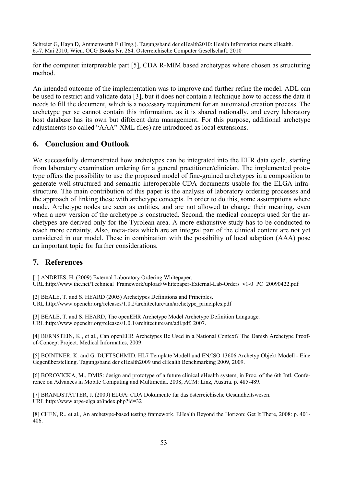for the computer interpretable part [5], CDA R-MIM based archetypes where chosen as structuring method.

An intended outcome of the implementation was to improve and further refine the model. ADL can be used to restrict and validate data [3], but it does not contain a technique how to access the data it needs to fill the document, which is a necessary requirement for an automated creation process. The archetype per se cannot contain this information, as it is shared nationally, and every laboratory host database has its own but different data management. For this purpose, additional archetype adjustments (so called "AAA"-XML files) are introduced as local extensions.

### **6. Conclusion and Outlook**

We successfully demonstrated how archetypes can be integrated into the EHR data cycle, starting from laboratory examination ordering for a general practitioner/clinician. The implemented prototype offers the possibility to use the proposed model of fine-grained archetypes in a composition to generate well-structured and semantic interoperable CDA documents usable for the ELGA infrastructure. The main contribution of this paper is the analysis of laboratory ordering processes and the approach of linking these with archetype concepts. In order to do this, some assumptions where made. Archetype nodes are seen as entities, and are not allowed to change their meaning, even when a new version of the archetype is constructed. Second, the medical concepts used for the archetypes are derived only for the Tyrolean area. A more exhaustive study has to be conducted to reach more certainty. Also, meta-data which are an integral part of the clinical content are not yet considered in our model. These in combination with the possibility of local adaption (AAA) pose an important topic for further considerations.

### **7. References**

[1] ANDRIES, H. (2009) External Laboratory Ordering Whitepaper. URL:http://www.ihe.net/Technical\_Framework/upload/Whitepaper-External-Lab-Orders\_v1-0\_PC\_20090422.pdf

[2] BEALE, T. and S. HEARD (2005) Archetypes Definitions and Principles. URL:http://www.openehr.org/releases/1.0.2/architecture/am/archetype\_principles.pdf

[3] BEALE, T. and S. HEARD, The openEHR Archetype Model Archetype Definition Language. URL:http://www.openehr.org/releases/1.0.1/architecture/am/adl.pdf, 2007.

[4] BERNSTEIN, K., et al., Can openEHR Archetypes Be Used in a National Context? The Danish Archetype Proofof-Concept Project. Medical Informatics, 2009.

[5] BOINTNER, K. and G. DUFTSCHMID, HL7 Template Modell und EN/ISO 13606 Archetyp Objekt Modell - Eine Gegenüberstellung. Tagungsband der eHealth2009 und eHealth Benchmarking 2009, 2009.

[6] BOROVICKA, M., DMIS: design and prototype of a future clinical eHealth system, in Proc. of the 6th Intl. Conference on Advances in Mobile Computing and Multimedia. 2008, ACM: Linz, Austria. p. 485-489.

[7] BRANDSTÄTTER, J. (2009) ELGA: CDA Dokumente für das österreichische Gesundheitswesen. URL:http://www.arge-elga.at/index.php?id=32

[8] CHEN, R., et al., An archetype-based testing framework. EHealth Beyond the Horizon: Get It There, 2008: p. 401- 406.